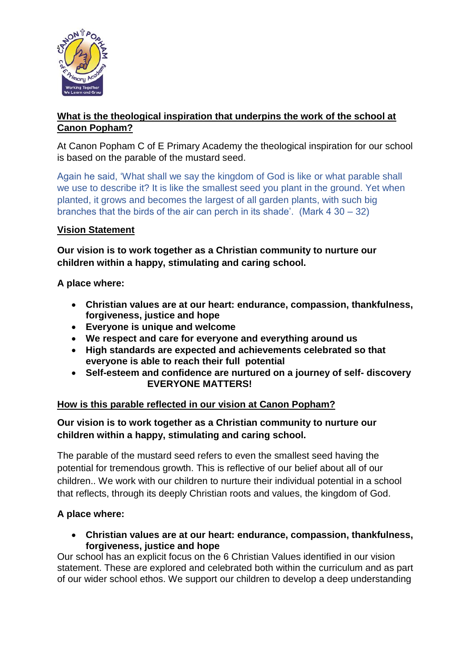

## **What is the theological inspiration that underpins the work of the school at Canon Popham?**

At Canon Popham C of E Primary Academy the theological inspiration for our school is based on the parable of the mustard seed.

Again he said, 'What shall we say the kingdom of God is like or what parable shall we use to describe it? It is like the smallest seed you plant in the ground. Yet when planted, it grows and becomes the largest of all garden plants, with such big branches that the birds of the air can perch in its shade'. (Mark  $4 \, 30 - 32$ )

#### **Vision Statement**

**Our vision is to work together as a Christian community to nurture our children within a happy, stimulating and caring school.**

**A place where:**

- **Christian values are at our heart: endurance, compassion, thankfulness, forgiveness, justice and hope**
- **Everyone is unique and welcome**
- **We respect and care for everyone and everything around us**
- **High standards are expected and achievements celebrated so that everyone is able to reach their full potential**
- **Self-esteem and confidence are nurtured on a journey of self- discovery EVERYONE MATTERS!**

#### **How is this parable reflected in our vision at Canon Popham?**

#### **Our vision is to work together as a Christian community to nurture our children within a happy, stimulating and caring school.**

The parable of the mustard seed refers to even the smallest seed having the potential for tremendous growth. This is reflective of our belief about all of our children.. We work with our children to nurture their individual potential in a school that reflects, through its deeply Christian roots and values, the kingdom of God.

#### **A place where:**

 **Christian values are at our heart: endurance, compassion, thankfulness, forgiveness, justice and hope**

Our school has an explicit focus on the 6 Christian Values identified in our vision statement. These are explored and celebrated both within the curriculum and as part of our wider school ethos. We support our children to develop a deep understanding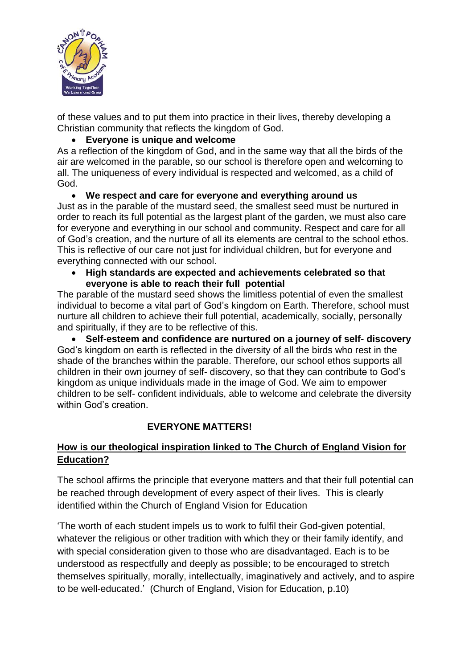

of these values and to put them into practice in their lives, thereby developing a Christian community that reflects the kingdom of God.

## **Everyone is unique and welcome**

As a reflection of the kingdom of God, and in the same way that all the birds of the air are welcomed in the parable, so our school is therefore open and welcoming to all. The uniqueness of every individual is respected and welcomed, as a child of God.

#### **We respect and care for everyone and everything around us**

Just as in the parable of the mustard seed, the smallest seed must be nurtured in order to reach its full potential as the largest plant of the garden, we must also care for everyone and everything in our school and community. Respect and care for all of God's creation, and the nurture of all its elements are central to the school ethos. This is reflective of our care not just for individual children, but for everyone and everything connected with our school.

 **High standards are expected and achievements celebrated so that everyone is able to reach their full potential**

The parable of the mustard seed shows the limitless potential of even the smallest individual to become a vital part of God's kingdom on Earth. Therefore, school must nurture all children to achieve their full potential, academically, socially, personally and spiritually, if they are to be reflective of this.

 **Self-esteem and confidence are nurtured on a journey of self- discovery** God's kingdom on earth is reflected in the diversity of all the birds who rest in the shade of the branches within the parable. Therefore, our school ethos supports all children in their own journey of self- discovery, so that they can contribute to God's kingdom as unique individuals made in the image of God. We aim to empower children to be self- confident individuals, able to welcome and celebrate the diversity within God's creation

## **EVERYONE MATTERS!**

## **How is our theological inspiration linked to The Church of England Vision for Education?**

The school affirms the principle that everyone matters and that their full potential can be reached through development of every aspect of their lives. This is clearly identified within the Church of England Vision for Education

'The worth of each student impels us to work to fulfil their God-given potential, whatever the religious or other tradition with which they or their family identify, and with special consideration given to those who are disadvantaged. Each is to be understood as respectfully and deeply as possible; to be encouraged to stretch themselves spiritually, morally, intellectually, imaginatively and actively, and to aspire to be well-educated.' (Church of England, Vision for Education, p.10)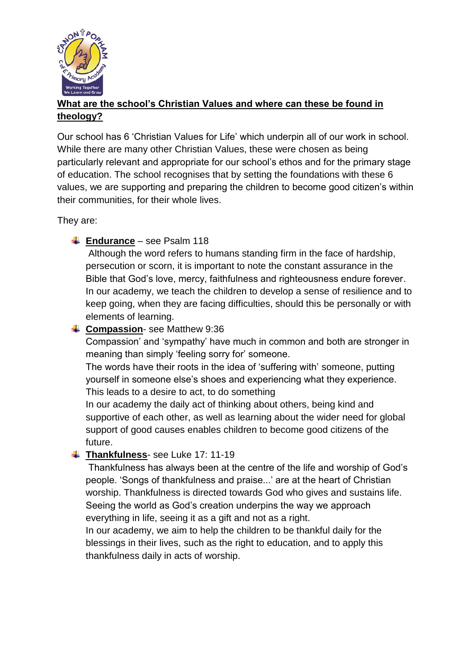

# **What are the school's Christian Values and where can these be found in theology?**

Our school has 6 'Christian Values for Life' which underpin all of our work in school. While there are many other Christian Values, these were chosen as being particularly relevant and appropriate for our school's ethos and for the primary stage of education. The school recognises that by setting the foundations with these 6 values, we are supporting and preparing the children to become good citizen's within their communities, for their whole lives.

They are:

## **Endurance** – see Psalm 118

Although the word refers to humans standing firm in the face of hardship, persecution or scorn, it is important to note the constant assurance in the Bible that God's love, mercy, faithfulness and righteousness endure forever. In our academy, we teach the children to develop a sense of resilience and to keep going, when they are facing difficulties, should this be personally or with elements of learning.

### **Compassion-** see Matthew 9:36

Compassion' and 'sympathy' have much in common and both are stronger in meaning than simply 'feeling sorry for' someone.

The words have their roots in the idea of 'suffering with' someone, putting yourself in someone else's shoes and experiencing what they experience. This leads to a desire to act, to do something

In our academy the daily act of thinking about others, being kind and supportive of each other, as well as learning about the wider need for global support of good causes enables children to become good citizens of the future.

#### **Thankfulness**- see Luke 17: 11-19

Thankfulness has always been at the centre of the life and worship of God's people. 'Songs of thankfulness and praise...' are at the heart of Christian worship. Thankfulness is directed towards God who gives and sustains life. Seeing the world as God's creation underpins the way we approach everything in life, seeing it as a gift and not as a right.

In our academy, we aim to help the children to be thankful daily for the blessings in their lives, such as the right to education, and to apply this thankfulness daily in acts of worship.